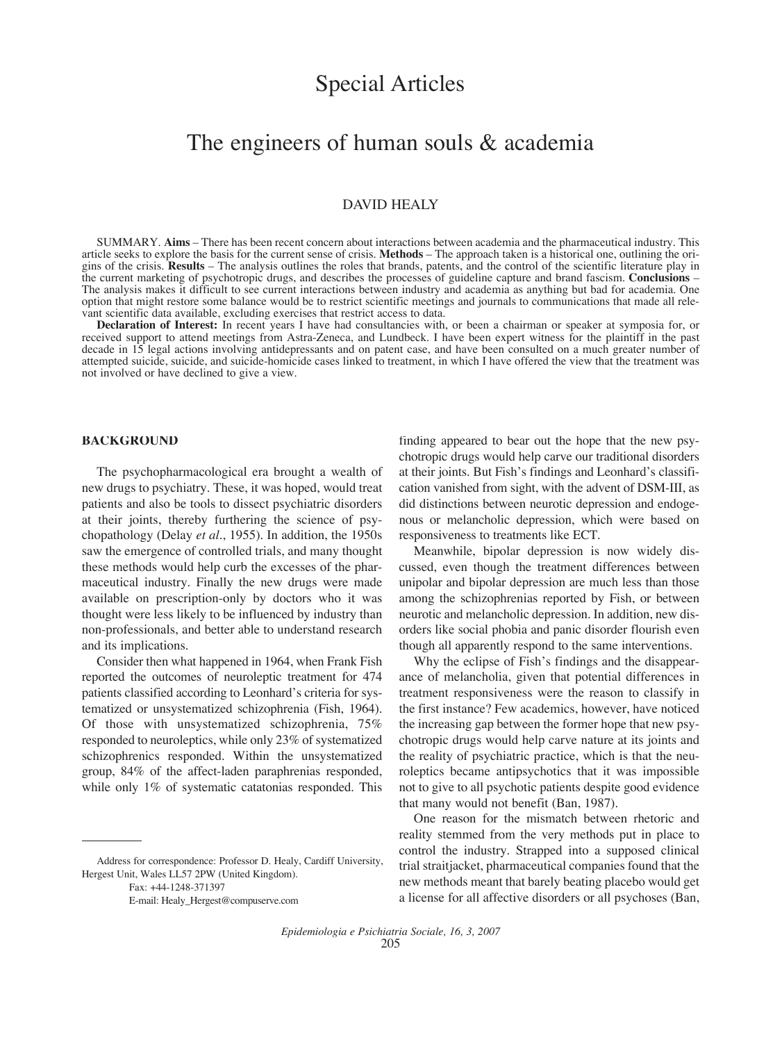# Special Articles

## The engineers of human souls & academia

### DAVID HEALY

SUMMARY. **Aims** – There has been recent concern about interactions between academia and the pharmaceutical industry. This article seeks to explore the basis for the current sense of crisis. **Methods** – The approach taken is a historical one, outlining the origins of the crisis. **Results** – The analysis outlines the roles that brands, patents, and the control of the scientific literature play in the current marketing of psychotropic drugs, and describes the processes of guideline capture and brand fascism. **Conclusions** – The analysis makes it difficult to see current interactions between industry and academia as anything but bad for academia. One option that might restore some balance would be to restrict scientific meetings and journals to communications that made all relevant scientific data available, excluding exercises that restrict access to data.

**Declaration of Interest:** In recent years I have had consultancies with, or been a chairman or speaker at symposia for, or received support to attend meetings from Astra-Zeneca, and Lundbeck. I have been expert witness for the plaintiff in the past decade in 15 legal actions involving antidepressants and on patent case, and have been consulted on a much greater number of attempted suicide, suicide, and suicide-homicide cases linked to treatment, in which I have offered the view that the treatment was not involved or have declined to give a view.

#### **BACKGROUND**

The psychopharmacological era brought a wealth of new drugs to psychiatry. These, it was hoped, would treat patients and also be tools to dissect psychiatric disorders at their joints, thereby furthering the science of psychopathology (Delay *et al.*, 1955). In addition, the 1950s saw the emergence of controlled trials, and many thought these methods would help curb the excesses of the pharmaceutical industry. Finally the new drugs were made available on prescription-only by doctors who it was thought were less likely to be influenced by industry than non-professionals, and better able to understand research and its implications.

Consider then what happened in 1964, when Frank Fish reported the outcomes of neuroleptic treatment for 474 patients classified according to Leonhard's criteria for systematized or unsystematized schizophrenia (Fish, 1964). Of those with unsystematized schizophrenia, 75% responded to neuroleptics, while only 23% of systematized schizophrenics responded. Within the unsystematized group, 84% of the affect-laden paraphrenias responded, while only 1% of systematic catatonias responded. This

Address for correspondence: Professor D. Healy, Cardiff University, Hergest Unit, Wales LL57 2PW (United Kingdom).

Fax: +44-1248-371397

E-mail: Healy\_Hergest@compuserve.com

finding appeared to bear out the hope that the new psychotropic drugs would help carve our traditional disorders at their joints. But Fish's findings and Leonhard's classification vanished from sight, with the advent of DSM-III, as did distinctions between neurotic depression and endogenous or melancholic depression, which were based on responsiveness to treatments like ECT.

Meanwhile, bipolar depression is now widely discussed, even though the treatment differences between unipolar and bipolar depression are much less than those among the schizophrenias reported by Fish, or between neurotic and melancholic depression. In addition, new disorders like social phobia and panic disorder flourish even though all apparently respond to the same interventions.

Why the eclipse of Fish's findings and the disappearance of melancholia, given that potential differences in treatment responsiveness were the reason to classify in the first instance? Few academics, however, have noticed the increasing gap between the former hope that new psychotropic drugs would help carve nature at its joints and the reality of psychiatric practice, which is that the neuroleptics became antipsychotics that it was impossible not to give to all psychotic patients despite good evidence that many would not benefit (Ban, 1987).

One reason for the mismatch between rhetoric and reality stemmed from the very methods put in place to control the industry. Strapped into a supposed clinical trial straitjacket, pharmaceutical companies found that the new methods meant that barely beating placebo would get a license for all affective disorders or all psychoses (Ban,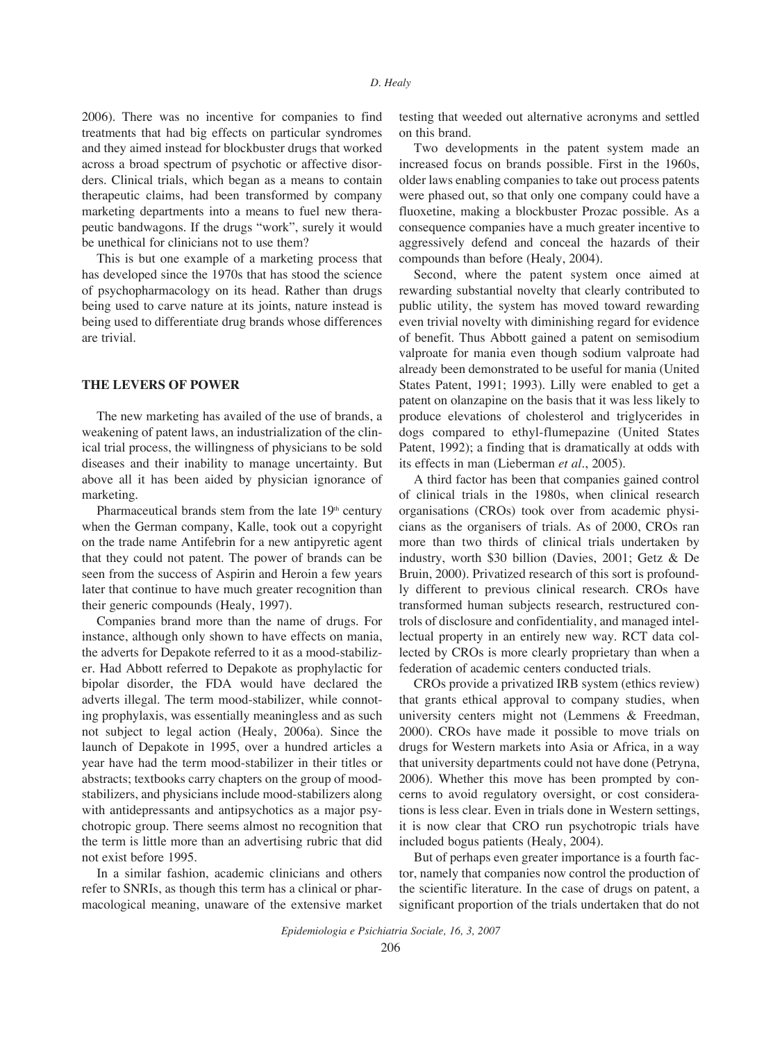2006). There was no incentive for companies to find treatments that had big effects on particular syndromes and they aimed instead for blockbuster drugs that worked across a broad spectrum of psychotic or affective disorders. Clinical trials, which began as a means to contain therapeutic claims, had been transformed by company marketing departments into a means to fuel new therapeutic bandwagons. If the drugs "work", surely it would be unethical for clinicians not to use them?

This is but one example of a marketing process that has developed since the 1970s that has stood the science of psychopharmacology on its head. Rather than drugs being used to carve nature at its joints, nature instead is being used to differentiate drug brands whose differences are trivial.

#### **THE LEVERS OF POWER**

The new marketing has availed of the use of brands, a weakening of patent laws, an industrialization of the clinical trial process, the willingness of physicians to be sold diseases and their inability to manage uncertainty. But above all it has been aided by physician ignorance of marketing.

Pharmaceutical brands stem from the late  $19<sup>th</sup>$  century when the German company, Kalle, took out a copyright on the trade name Antifebrin for a new antipyretic agent that they could not patent. The power of brands can be seen from the success of Aspirin and Heroin a few years later that continue to have much greater recognition than their generic compounds (Healy, 1997).

Companies brand more than the name of drugs. For instance, although only shown to have effects on mania, the adverts for Depakote referred to it as a mood-stabilizer. Had Abbott referred to Depakote as prophylactic for bipolar disorder, the FDA would have declared the adverts illegal. The term mood-stabilizer, while connoting prophylaxis, was essentially meaningless and as such not subject to legal action (Healy, 2006a). Since the launch of Depakote in 1995, over a hundred articles a year have had the term mood-stabilizer in their titles or abstracts; textbooks carry chapters on the group of moodstabilizers, and physicians include mood-stabilizers along with antidepressants and antipsychotics as a major psychotropic group. There seems almost no recognition that the term is little more than an advertising rubric that did not exist before 1995.

In a similar fashion, academic clinicians and others refer to SNRIs, as though this term has a clinical or pharmacological meaning, unaware of the extensive market testing that weeded out alternative acronyms and settled on this brand.

Two developments in the patent system made an increased focus on brands possible. First in the 1960s, older laws enabling companies to take out process patents were phased out, so that only one company could have a fluoxetine, making a blockbuster Prozac possible. As a consequence companies have a much greater incentive to aggressively defend and conceal the hazards of their compounds than before (Healy, 2004).

Second, where the patent system once aimed at rewarding substantial novelty that clearly contributed to public utility, the system has moved toward rewarding even trivial novelty with diminishing regard for evidence of benefit. Thus Abbott gained a patent on semisodium valproate for mania even though sodium valproate had already been demonstrated to be useful for mania (United States Patent, 1991; 1993). Lilly were enabled to get a patent on olanzapine on the basis that it was less likely to produce elevations of cholesterol and triglycerides in dogs compared to ethyl-flumepazine (United States Patent, 1992); a finding that is dramatically at odds with its effects in man (Lieberman *et al.*, 2005).

A third factor has been that companies gained control of clinical trials in the 1980s, when clinical research organisations (CROs) took over from academic physicians as the organisers of trials. As of 2000, CROs ran more than two thirds of clinical trials undertaken by industry, worth \$30 billion (Davies, 2001; Getz & De Bruin, 2000). Privatized research of this sort is profoundly different to previous clinical research. CROs have transformed human subjects research, restructured controls of disclosure and confidentiality, and managed intellectual property in an entirely new way. RCT data collected by CROs is more clearly proprietary than when a federation of academic centers conducted trials.

CROs provide a privatized IRB system (ethics review) that grants ethical approval to company studies, when university centers might not (Lemmens & Freedman, 2000). CROs have made it possible to move trials on drugs for Western markets into Asia or Africa, in a way that university departments could not have done (Petryna, 2006). Whether this move has been prompted by concerns to avoid regulatory oversight, or cost considerations is less clear. Even in trials done in Western settings, it is now clear that CRO run psychotropic trials have included bogus patients (Healy, 2004).

But of perhaps even greater importance is a fourth factor, namely that companies now control the production of the scientific literature. In the case of drugs on patent, a significant proportion of the trials undertaken that do not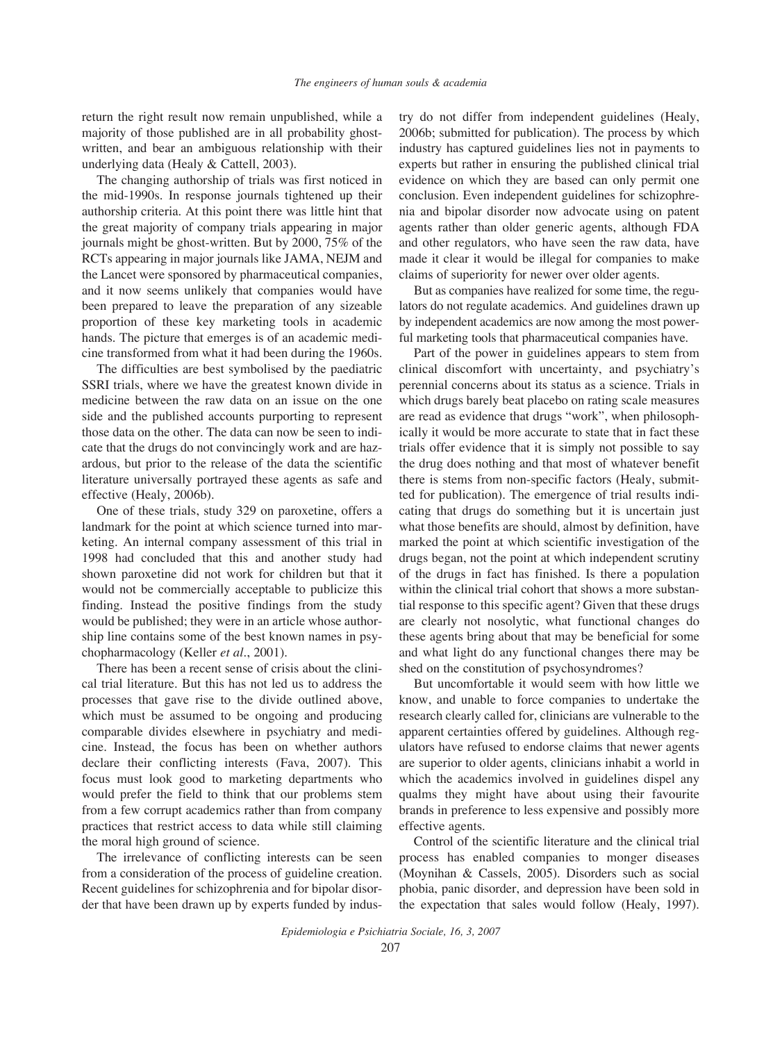return the right result now remain unpublished, while a majority of those published are in all probability ghostwritten, and bear an ambiguous relationship with their underlying data (Healy & Cattell, 2003).

The changing authorship of trials was first noticed in the mid-1990s. In response journals tightened up their authorship criteria. At this point there was little hint that the great majority of company trials appearing in major journals might be ghost-written. But by 2000, 75% of the RCTs appearing in major journals like JAMA, NEJM and the Lancet were sponsored by pharmaceutical companies, and it now seems unlikely that companies would have been prepared to leave the preparation of any sizeable proportion of these key marketing tools in academic hands. The picture that emerges is of an academic medicine transformed from what it had been during the 1960s.

The difficulties are best symbolised by the paediatric SSRI trials, where we have the greatest known divide in medicine between the raw data on an issue on the one side and the published accounts purporting to represent those data on the other. The data can now be seen to indicate that the drugs do not convincingly work and are hazardous, but prior to the release of the data the scientific literature universally portrayed these agents as safe and effective (Healy, 2006b).

One of these trials, study 329 on paroxetine, offers a landmark for the point at which science turned into marketing. An internal company assessment of this trial in 1998 had concluded that this and another study had shown paroxetine did not work for children but that it would not be commercially acceptable to publicize this finding. Instead the positive findings from the study would be published; they were in an article whose authorship line contains some of the best known names in psychopharmacology (Keller *et al.*, 2001).

There has been a recent sense of crisis about the clinical trial literature. But this has not led us to address the processes that gave rise to the divide outlined above, which must be assumed to be ongoing and producing comparable divides elsewhere in psychiatry and medicine. Instead, the focus has been on whether authors declare their conflicting interests (Fava, 2007). This focus must look good to marketing departments who would prefer the field to think that our problems stem from a few corrupt academics rather than from company practices that restrict access to data while still claiming the moral high ground of science.

The irrelevance of conflicting interests can be seen from a consideration of the process of guideline creation. Recent guidelines for schizophrenia and for bipolar disorder that have been drawn up by experts funded by industry do not differ from independent guidelines (Healy, 2006b; submitted for publication). The process by which industry has captured guidelines lies not in payments to experts but rather in ensuring the published clinical trial evidence on which they are based can only permit one conclusion. Even independent guidelines for schizophrenia and bipolar disorder now advocate using on patent agents rather than older generic agents, although FDA and other regulators, who have seen the raw data, have made it clear it would be illegal for companies to make claims of superiority for newer over older agents.

But as companies have realized for some time, the regulators do not regulate academics. And guidelines drawn up by independent academics are now among the most powerful marketing tools that pharmaceutical companies have.

Part of the power in guidelines appears to stem from clinical discomfort with uncertainty, and psychiatry's perennial concerns about its status as a science. Trials in which drugs barely beat placebo on rating scale measures are read as evidence that drugs "work", when philosophically it would be more accurate to state that in fact these trials offer evidence that it is simply not possible to say the drug does nothing and that most of whatever benefit there is stems from non-specific factors (Healy, submitted for publication). The emergence of trial results indicating that drugs do something but it is uncertain just what those benefits are should, almost by definition, have marked the point at which scientific investigation of the drugs began, not the point at which independent scrutiny of the drugs in fact has finished. Is there a population within the clinical trial cohort that shows a more substantial response to this specific agent? Given that these drugs are clearly not nosolytic, what functional changes do these agents bring about that may be beneficial for some and what light do any functional changes there may be shed on the constitution of psychosyndromes?

But uncomfortable it would seem with how little we know, and unable to force companies to undertake the research clearly called for, clinicians are vulnerable to the apparent certainties offered by guidelines. Although regulators have refused to endorse claims that newer agents are superior to older agents, clinicians inhabit a world in which the academics involved in guidelines dispel any qualms they might have about using their favourite brands in preference to less expensive and possibly more effective agents.

Control of the scientific literature and the clinical trial process has enabled companies to monger diseases (Moynihan & Cassels, 2005). Disorders such as social phobia, panic disorder, and depression have been sold in the expectation that sales would follow (Healy, 1997).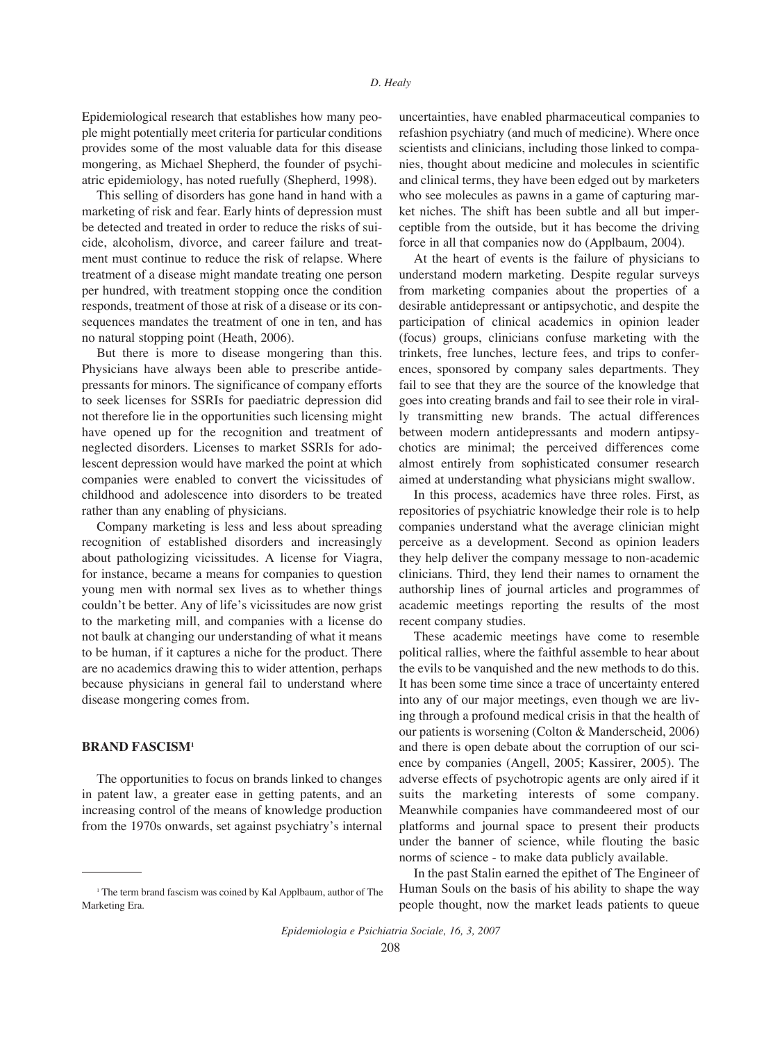Epidemiological research that establishes how many people might potentially meet criteria for particular conditions provides some of the most valuable data for this disease mongering, as Michael Shepherd, the founder of psychiatric epidemiology, has noted ruefully (Shepherd, 1998).

This selling of disorders has gone hand in hand with a marketing of risk and fear. Early hints of depression must be detected and treated in order to reduce the risks of suicide, alcoholism, divorce, and career failure and treatment must continue to reduce the risk of relapse. Where treatment of a disease might mandate treating one person per hundred, with treatment stopping once the condition responds, treatment of those at risk of a disease or its consequences mandates the treatment of one in ten, and has no natural stopping point (Heath, 2006).

But there is more to disease mongering than this. Physicians have always been able to prescribe antidepressants for minors. The significance of company efforts to seek licenses for SSRIs for paediatric depression did not therefore lie in the opportunities such licensing might have opened up for the recognition and treatment of neglected disorders. Licenses to market SSRIs for adolescent depression would have marked the point at which companies were enabled to convert the vicissitudes of childhood and adolescence into disorders to be treated rather than any enabling of physicians.

Company marketing is less and less about spreading recognition of established disorders and increasingly about pathologizing vicissitudes. A license for Viagra, for instance, became a means for companies to question young men with normal sex lives as to whether things couldn't be better. Any of life's vicissitudes are now grist to the marketing mill, and companies with a license do not baulk at changing our understanding of what it means to be human, if it captures a niche for the product. There are no academics drawing this to wider attention, perhaps because physicians in general fail to understand where disease mongering comes from.

### **BRAND FASCISM1**

The opportunities to focus on brands linked to changes in patent law, a greater ease in getting patents, and an increasing control of the means of knowledge production from the 1970s onwards, set against psychiatry's internal uncertainties, have enabled pharmaceutical companies to refashion psychiatry (and much of medicine). Where once scientists and clinicians, including those linked to companies, thought about medicine and molecules in scientific and clinical terms, they have been edged out by marketers who see molecules as pawns in a game of capturing market niches. The shift has been subtle and all but imperceptible from the outside, but it has become the driving force in all that companies now do (Applbaum, 2004).

At the heart of events is the failure of physicians to understand modern marketing. Despite regular surveys from marketing companies about the properties of a desirable antidepressant or antipsychotic, and despite the participation of clinical academics in opinion leader (focus) groups, clinicians confuse marketing with the trinkets, free lunches, lecture fees, and trips to conferences, sponsored by company sales departments. They fail to see that they are the source of the knowledge that goes into creating brands and fail to see their role in virally transmitting new brands. The actual differences between modern antidepressants and modern antipsychotics are minimal; the perceived differences come almost entirely from sophisticated consumer research aimed at understanding what physicians might swallow.

In this process, academics have three roles. First, as repositories of psychiatric knowledge their role is to help companies understand what the average clinician might perceive as a development. Second as opinion leaders they help deliver the company message to non-academic clinicians. Third, they lend their names to ornament the authorship lines of journal articles and programmes of academic meetings reporting the results of the most recent company studies.

These academic meetings have come to resemble political rallies, where the faithful assemble to hear about the evils to be vanquished and the new methods to do this. It has been some time since a trace of uncertainty entered into any of our major meetings, even though we are living through a profound medical crisis in that the health of our patients is worsening (Colton & Manderscheid, 2006) and there is open debate about the corruption of our science by companies (Angell, 2005; Kassirer, 2005). The adverse effects of psychotropic agents are only aired if it suits the marketing interests of some company. Meanwhile companies have commandeered most of our platforms and journal space to present their products under the banner of science, while flouting the basic norms of science - to make data publicly available.

In the past Stalin earned the epithet of The Engineer of Human Souls on the basis of his ability to shape the way people thought, now the market leads patients to queue

*Epidemiologia e Psichiatria Sociale, 16, 3, 2007*

<sup>&</sup>lt;sup>1</sup> The term brand fascism was coined by Kal Applbaum, author of The Marketing Era.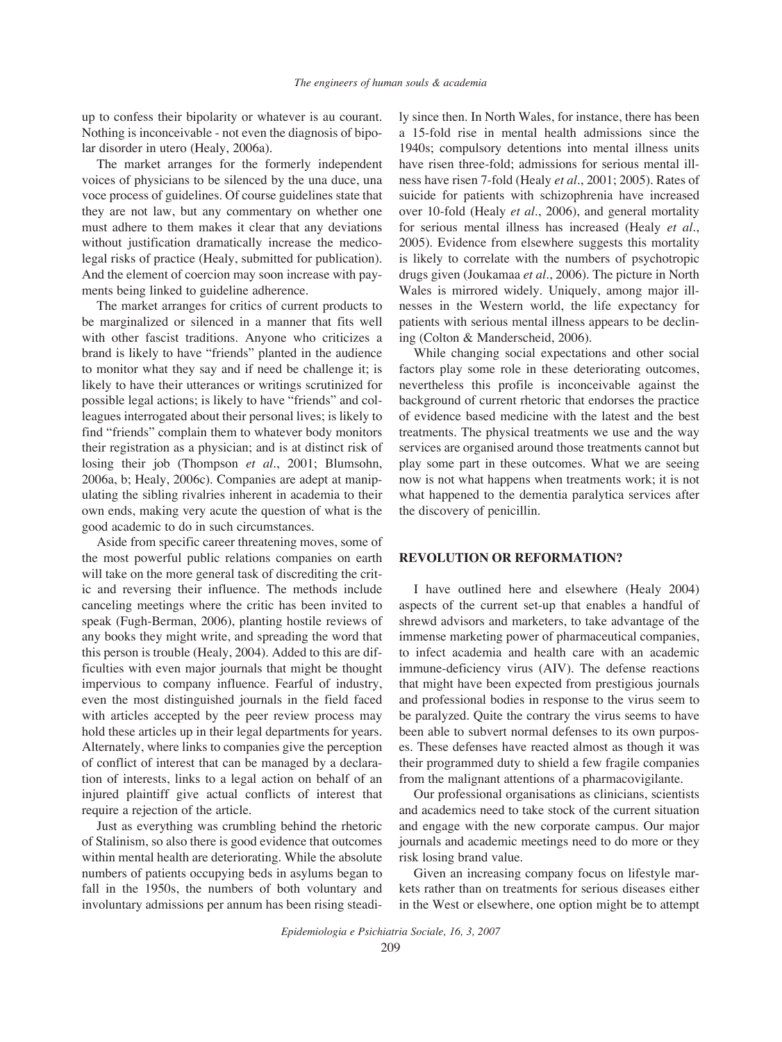up to confess their bipolarity or whatever is au courant. Nothing is inconceivable - not even the diagnosis of bipolar disorder in utero (Healy, 2006a).

The market arranges for the formerly independent voices of physicians to be silenced by the una duce, una voce process of guidelines. Of course guidelines state that they are not law, but any commentary on whether one must adhere to them makes it clear that any deviations without justification dramatically increase the medicolegal risks of practice (Healy, submitted for publication). And the element of coercion may soon increase with payments being linked to guideline adherence.

The market arranges for critics of current products to be marginalized or silenced in a manner that fits well with other fascist traditions. Anyone who criticizes a brand is likely to have "friends" planted in the audience to monitor what they say and if need be challenge it; is likely to have their utterances or writings scrutinized for possible legal actions; is likely to have "friends" and colleagues interrogated about their personal lives; is likely to find "friends" complain them to whatever body monitors their registration as a physician; and is at distinct risk of losing their job (Thompson *et al.*, 2001; Blumsohn, 2006a, b; Healy, 2006c). Companies are adept at manipulating the sibling rivalries inherent in academia to their own ends, making very acute the question of what is the good academic to do in such circumstances.

Aside from specific career threatening moves, some of the most powerful public relations companies on earth will take on the more general task of discrediting the critic and reversing their influence. The methods include canceling meetings where the critic has been invited to speak (Fugh-Berman, 2006), planting hostile reviews of any books they might write, and spreading the word that this person is trouble (Healy, 2004). Added to this are difficulties with even major journals that might be thought impervious to company influence. Fearful of industry, even the most distinguished journals in the field faced with articles accepted by the peer review process may hold these articles up in their legal departments for years. Alternately, where links to companies give the perception of conflict of interest that can be managed by a declaration of interests, links to a legal action on behalf of an injured plaintiff give actual conflicts of interest that require a rejection of the article.

Just as everything was crumbling behind the rhetoric of Stalinism, so also there is good evidence that outcomes within mental health are deteriorating. While the absolute numbers of patients occupying beds in asylums began to fall in the 1950s, the numbers of both voluntary and involuntary admissions per annum has been rising steadily since then. In North Wales, for instance, there has been a 15-fold rise in mental health admissions since the 1940s; compulsory detentions into mental illness units have risen three-fold; admissions for serious mental illness have risen 7-fold (Healy *et al.*, 2001; 2005). Rates of suicide for patients with schizophrenia have increased over 10-fold (Healy *et al.*, 2006), and general mortality for serious mental illness has increased (Healy *et al.*, 2005). Evidence from elsewhere suggests this mortality is likely to correlate with the numbers of psychotropic drugs given (Joukamaa *et al.*, 2006). The picture in North Wales is mirrored widely. Uniquely, among major illnesses in the Western world, the life expectancy for patients with serious mental illness appears to be declining (Colton & Manderscheid, 2006).

While changing social expectations and other social factors play some role in these deteriorating outcomes, nevertheless this profile is inconceivable against the background of current rhetoric that endorses the practice of evidence based medicine with the latest and the best treatments. The physical treatments we use and the way services are organised around those treatments cannot but play some part in these outcomes. What we are seeing now is not what happens when treatments work; it is not what happened to the dementia paralytica services after the discovery of penicillin.

#### **REVOLUTION OR REFORMATION?**

I have outlined here and elsewhere (Healy 2004) aspects of the current set-up that enables a handful of shrewd advisors and marketers, to take advantage of the immense marketing power of pharmaceutical companies, to infect academia and health care with an academic immune-deficiency virus (AIV). The defense reactions that might have been expected from prestigious journals and professional bodies in response to the virus seem to be paralyzed. Quite the contrary the virus seems to have been able to subvert normal defenses to its own purposes. These defenses have reacted almost as though it was their programmed duty to shield a few fragile companies from the malignant attentions of a pharmacovigilante.

Our professional organisations as clinicians, scientists and academics need to take stock of the current situation and engage with the new corporate campus. Our major journals and academic meetings need to do more or they risk losing brand value.

Given an increasing company focus on lifestyle markets rather than on treatments for serious diseases either in the West or elsewhere, one option might be to attempt

*Epidemiologia e Psichiatria Sociale, 16, 3, 2007* 209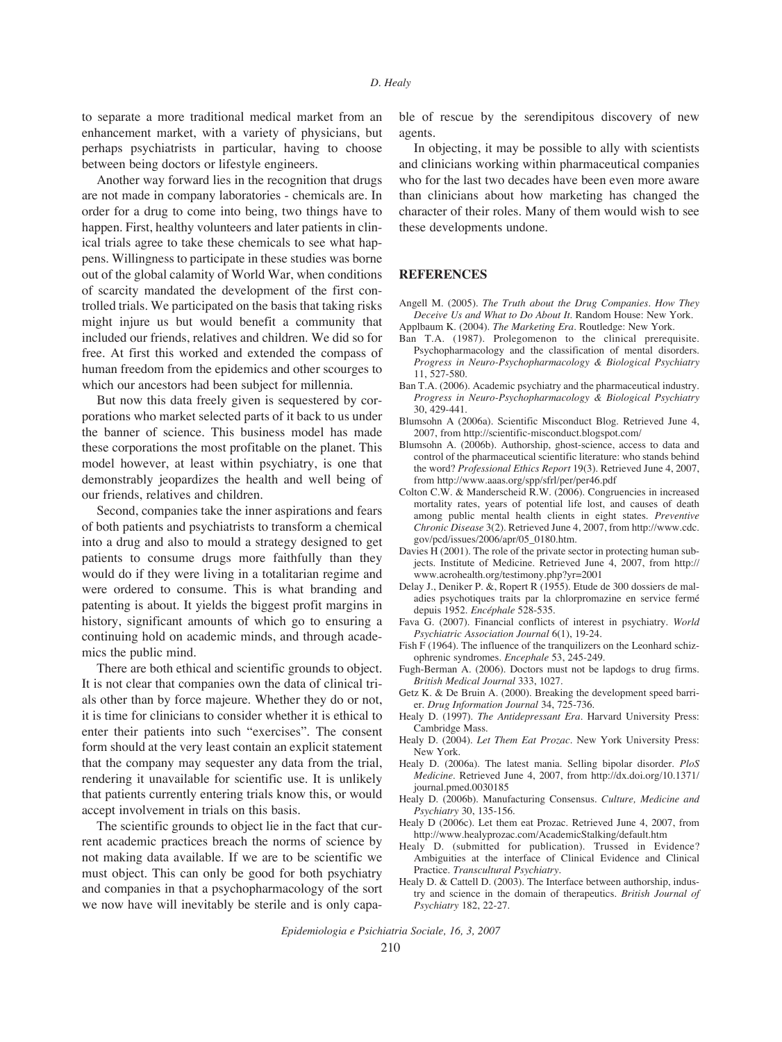to separate a more traditional medical market from an enhancement market, with a variety of physicians, but perhaps psychiatrists in particular, having to choose between being doctors or lifestyle engineers.

Another way forward lies in the recognition that drugs are not made in company laboratories - chemicals are. In order for a drug to come into being, two things have to happen. First, healthy volunteers and later patients in clinical trials agree to take these chemicals to see what happens. Willingness to participate in these studies was borne out of the global calamity of World War, when conditions of scarcity mandated the development of the first controlled trials. We participated on the basis that taking risks might injure us but would benefit a community that included our friends, relatives and children. We did so for free. At first this worked and extended the compass of human freedom from the epidemics and other scourges to which our ancestors had been subject for millennia.

But now this data freely given is sequestered by corporations who market selected parts of it back to us under the banner of science. This business model has made these corporations the most profitable on the planet. This model however, at least within psychiatry, is one that demonstrably jeopardizes the health and well being of our friends, relatives and children.

Second, companies take the inner aspirations and fears of both patients and psychiatrists to transform a chemical into a drug and also to mould a strategy designed to get patients to consume drugs more faithfully than they would do if they were living in a totalitarian regime and were ordered to consume. This is what branding and patenting is about. It yields the biggest profit margins in history, significant amounts of which go to ensuring a continuing hold on academic minds, and through academics the public mind.

There are both ethical and scientific grounds to object. It is not clear that companies own the data of clinical trials other than by force majeure. Whether they do or not, it is time for clinicians to consider whether it is ethical to enter their patients into such "exercises". The consent form should at the very least contain an explicit statement that the company may sequester any data from the trial, rendering it unavailable for scientific use. It is unlikely that patients currently entering trials know this, or would accept involvement in trials on this basis.

The scientific grounds to object lie in the fact that current academic practices breach the norms of science by not making data available. If we are to be scientific we must object. This can only be good for both psychiatry and companies in that a psychopharmacology of the sort we now have will inevitably be sterile and is only capable of rescue by the serendipitous discovery of new agents.

In objecting, it may be possible to ally with scientists and clinicians working within pharmaceutical companies who for the last two decades have been even more aware than clinicians about how marketing has changed the character of their roles. Many of them would wish to see these developments undone.

#### **REFERENCES**

Angell M. (2005). *The Truth about the Drug Companies. How They Deceive Us and What to Do About It*. Random House: New York.

- Applbaum K. (2004). *The Marketing Era*. Routledge: New York.
- Ban T.A. (1987). Prolegomenon to the clinical prerequisite. Psychopharmacology and the classification of mental disorders. *Progress in Neuro-Psychopharmacology & Biological Psychiatry* 11, 527-580.
- Ban T.A. (2006). Academic psychiatry and the pharmaceutical industry. *Progress in Neuro-Psychopharmacology & Biological Psychiatry* 30, 429-441.
- Blumsohn A (2006a). Scientific Misconduct Blog. Retrieved June 4, 2007, from http://scientific-misconduct.blogspot.com/
- Blumsohn A. (2006b). Authorship, ghost-science, access to data and control of the pharmaceutical scientific literature: who stands behind the word? *Professional Ethics Report* 19(3). Retrieved June 4, 2007, from http://www.aaas.org/spp/sfrl/per/per46.pdf
- Colton C.W. & Manderscheid R.W. (2006). Congruencies in increased mortality rates, years of potential life lost, and causes of death among public mental health clients in eight states. *Preventive Chronic Disease* 3(2). Retrieved June 4, 2007, from http://www.cdc. gov/pcd/issues/2006/apr/05\_0180.htm.
- Davies H (2001). The role of the private sector in protecting human subjects. Institute of Medicine. Retrieved June 4, 2007, from http:// www.acrohealth.org/testimony.php?yr=2001
- Delay J., Deniker P. &, Ropert R (1955). Etude de 300 dossiers de maladies psychotiques traits par la chlorpromazine en service fermé depuis 1952. *Encéphale* 528-535.
- Fava G. (2007). Financial conflicts of interest in psychiatry. *World Psychiatric Association Journal* 6(1), 19-24.
- Fish F (1964). The influence of the tranquilizers on the Leonhard schizophrenic syndromes. *Encephale* 53, 245-249.
- Fugh-Berman A. (2006). Doctors must not be lapdogs to drug firms. *British Medical Journal* 333, 1027.
- Getz K. & De Bruin A. (2000). Breaking the development speed barrier. *Drug Information Journal* 34, 725-736.
- Healy D. (1997). *The Antidepressant Era*. Harvard University Press: Cambridge Mass.
- Healy D. (2004). *Let Them Eat Prozac*. New York University Press: New York.
- Healy D. (2006a). The latest mania. Selling bipolar disorder. *PloS Medicine*. Retrieved June 4, 2007, from http://dx.doi.org/10.1371/ journal.pmed.0030185
- Healy D. (2006b). Manufacturing Consensus. *Culture, Medicine and Psychiatry* 30, 135-156.
- Healy D (2006c). Let them eat Prozac. Retrieved June 4, 2007, from http://www.healyprozac.com/AcademicStalking/default.htm
- Healy D. (submitted for publication). Trussed in Evidence? Ambiguities at the interface of Clinical Evidence and Clinical Practice. *Transcultural Psychiatry*.
- Healy D. & Cattell D. (2003). The Interface between authorship, industry and science in the domain of therapeutics. *British Journal of Psychiatry* 182, 22-27.

*Epidemiologia e Psichiatria Sociale, 16, 3, 2007*